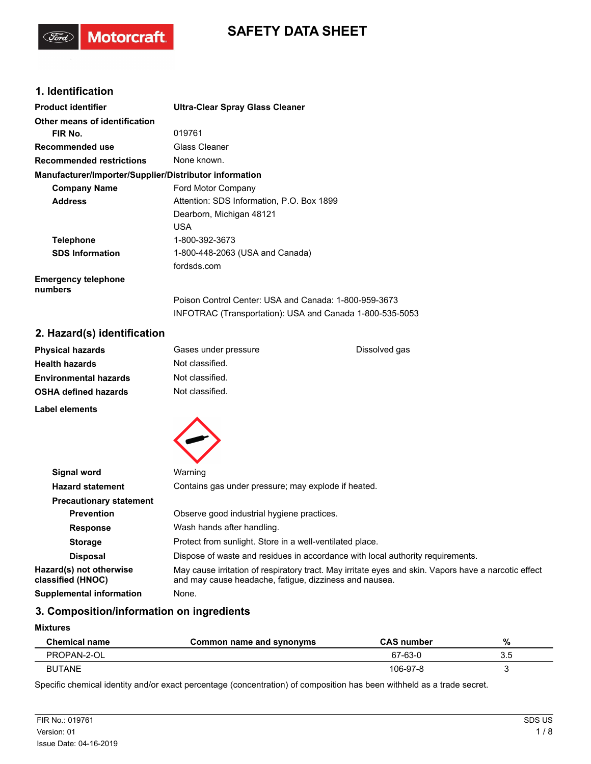# **SAFETY DATA SHEET**

# **1. Identification**

(Ford)

**Motorcraft** 

| <b>Product identifier</b>                              | <b>Ultra-Clear Spray Glass Cleaner</b>                                                                            |
|--------------------------------------------------------|-------------------------------------------------------------------------------------------------------------------|
| Other means of identification                          |                                                                                                                   |
| FIR No.                                                | 019761                                                                                                            |
| Recommended use                                        | Glass Cleaner                                                                                                     |
| <b>Recommended restrictions</b>                        | None known.                                                                                                       |
| Manufacturer/Importer/Supplier/Distributor information |                                                                                                                   |
| <b>Company Name</b>                                    | Ford Motor Company                                                                                                |
| <b>Address</b>                                         | Attention: SDS Information, P.O. Box 1899                                                                         |
|                                                        | Dearborn, Michigan 48121                                                                                          |
|                                                        | <b>USA</b>                                                                                                        |
| <b>Telephone</b>                                       | 1-800-392-3673                                                                                                    |
| <b>SDS Information</b>                                 | 1-800-448-2063 (USA and Canada)                                                                                   |
|                                                        | fordsds.com                                                                                                       |
| <b>Emergency telephone</b><br>numbers                  |                                                                                                                   |
|                                                        | Poison Control Center: USA and Canada: 1-800-959-3673<br>INFOTRAC (Transportation): USA and Canada 1-800-535-5053 |

### **2. Hazard(s) identification**

| <b>Physical hazards</b>      | Gases under pressure | Dissolved gas |
|------------------------------|----------------------|---------------|
| <b>Health hazards</b>        | Not classified.      |               |
| <b>Environmental hazards</b> | Not classified.      |               |
| <b>OSHA defined hazards</b>  | Not classified.      |               |
| Label elements               |                      |               |



| Contains gas under pressure; may explode if heated.<br><b>Hazard statement</b>                                                                                                                                 |  |
|----------------------------------------------------------------------------------------------------------------------------------------------------------------------------------------------------------------|--|
|                                                                                                                                                                                                                |  |
| <b>Precautionary statement</b>                                                                                                                                                                                 |  |
| Observe good industrial hygiene practices.<br><b>Prevention</b>                                                                                                                                                |  |
| Wash hands after handling.<br><b>Response</b>                                                                                                                                                                  |  |
| Protect from sunlight. Store in a well-ventilated place.<br><b>Storage</b>                                                                                                                                     |  |
| Dispose of waste and residues in accordance with local authority requirements.<br><b>Disposal</b>                                                                                                              |  |
| Hazard(s) not otherwise<br>May cause irritation of respiratory tract. May irritate eyes and skin. Vapors have a narcotic effect<br>and may cause headache, fatigue, dizziness and nausea.<br>classified (HNOC) |  |
| <b>Supplemental information</b><br>None.                                                                                                                                                                       |  |

### **3. Composition/information on ingredients**

### **Mixtures**

| <b>Chemical name</b> | Common name and synonyms | <b>CAS number</b> | %   |
|----------------------|--------------------------|-------------------|-----|
| PROPAN-2-OL          |                          | 67-63-0           | 3.5 |
| <b>BUTANE</b>        |                          | 106-97-8          |     |

Specific chemical identity and/or exact percentage (concentration) of composition has been withheld as a trade secret.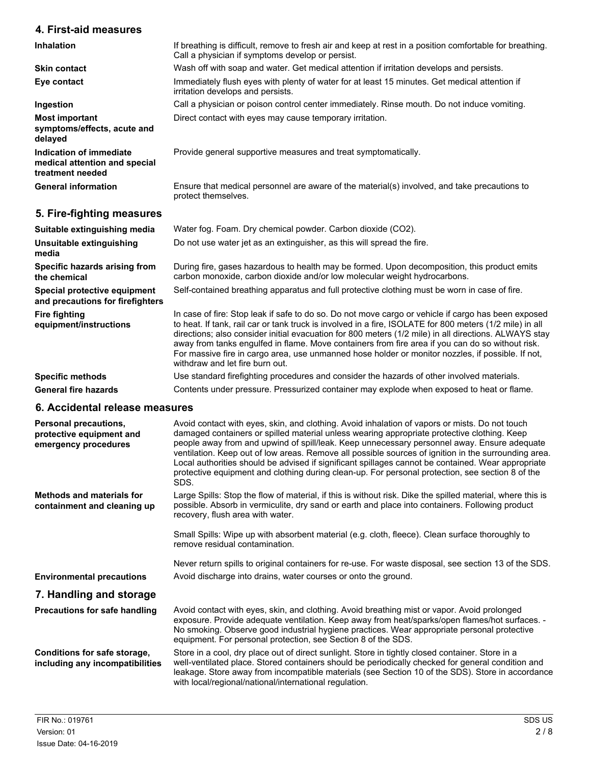# **4. First-aid measures**

| 4. First-ald measures                                                        |                                                                                                                                                                                                                                                                                                                                                                                                                                                                                                                                   |
|------------------------------------------------------------------------------|-----------------------------------------------------------------------------------------------------------------------------------------------------------------------------------------------------------------------------------------------------------------------------------------------------------------------------------------------------------------------------------------------------------------------------------------------------------------------------------------------------------------------------------|
| <b>Inhalation</b>                                                            | If breathing is difficult, remove to fresh air and keep at rest in a position comfortable for breathing.<br>Call a physician if symptoms develop or persist.                                                                                                                                                                                                                                                                                                                                                                      |
| <b>Skin contact</b>                                                          | Wash off with soap and water. Get medical attention if irritation develops and persists.                                                                                                                                                                                                                                                                                                                                                                                                                                          |
| Eye contact                                                                  | Immediately flush eyes with plenty of water for at least 15 minutes. Get medical attention if<br>irritation develops and persists.                                                                                                                                                                                                                                                                                                                                                                                                |
| Ingestion                                                                    | Call a physician or poison control center immediately. Rinse mouth. Do not induce vomiting.                                                                                                                                                                                                                                                                                                                                                                                                                                       |
| <b>Most important</b><br>symptoms/effects, acute and<br>delayed              | Direct contact with eyes may cause temporary irritation.                                                                                                                                                                                                                                                                                                                                                                                                                                                                          |
| Indication of immediate<br>medical attention and special<br>treatment needed | Provide general supportive measures and treat symptomatically.                                                                                                                                                                                                                                                                                                                                                                                                                                                                    |
| <b>General information</b>                                                   | Ensure that medical personnel are aware of the material(s) involved, and take precautions to<br>protect themselves.                                                                                                                                                                                                                                                                                                                                                                                                               |
| 5. Fire-fighting measures                                                    |                                                                                                                                                                                                                                                                                                                                                                                                                                                                                                                                   |
| Suitable extinguishing media                                                 | Water fog. Foam. Dry chemical powder. Carbon dioxide (CO2).                                                                                                                                                                                                                                                                                                                                                                                                                                                                       |
| Unsuitable extinguishing<br>media                                            | Do not use water jet as an extinguisher, as this will spread the fire.                                                                                                                                                                                                                                                                                                                                                                                                                                                            |
| Specific hazards arising from<br>the chemical                                | During fire, gases hazardous to health may be formed. Upon decomposition, this product emits<br>carbon monoxide, carbon dioxide and/or low molecular weight hydrocarbons.                                                                                                                                                                                                                                                                                                                                                         |
| Special protective equipment<br>and precautions for firefighters             | Self-contained breathing apparatus and full protective clothing must be worn in case of fire.                                                                                                                                                                                                                                                                                                                                                                                                                                     |
| <b>Fire fighting</b><br>equipment/instructions                               | In case of fire: Stop leak if safe to do so. Do not move cargo or vehicle if cargo has been exposed<br>to heat. If tank, rail car or tank truck is involved in a fire, ISOLATE for 800 meters (1/2 mile) in all<br>directions; also consider initial evacuation for 800 meters (1/2 mile) in all directions. ALWAYS stay<br>away from tanks engulfed in flame. Move containers from fire area if you can do so without risk.<br>For massive fire in cargo area, use unmanned hose holder or monitor nozzles, if possible. If not, |

**Specific methods** Use standard firefighting procedures and consider the hazards of other involved materials.

withdraw and let fire burn out.

# General fire hazards **Contents under pressure.** Pressurized container may explode when exposed to heat or flame.

### **6. Accidental release measures**

| Personal precautions,<br>protective equipment and<br>emergency procedures | Avoid contact with eyes, skin, and clothing. Avoid inhalation of vapors or mists. Do not touch<br>damaged containers or spilled material unless wearing appropriate protective clothing. Keep<br>people away from and upwind of spill/leak. Keep unnecessary personnel away. Ensure adequate<br>ventilation. Keep out of low areas. Remove all possible sources of ignition in the surrounding area.<br>Local authorities should be advised if significant spillages cannot be contained. Wear appropriate<br>protective equipment and clothing during clean-up. For personal protection, see section 8 of the<br>SDS. |
|---------------------------------------------------------------------------|------------------------------------------------------------------------------------------------------------------------------------------------------------------------------------------------------------------------------------------------------------------------------------------------------------------------------------------------------------------------------------------------------------------------------------------------------------------------------------------------------------------------------------------------------------------------------------------------------------------------|
| <b>Methods and materials for</b><br>containment and cleaning up           | Large Spills: Stop the flow of material, if this is without risk. Dike the spilled material, where this is<br>possible. Absorb in vermiculite, dry sand or earth and place into containers. Following product<br>recovery, flush area with water.                                                                                                                                                                                                                                                                                                                                                                      |
|                                                                           | Small Spills: Wipe up with absorbent material (e.g. cloth, fleece). Clean surface thoroughly to<br>remove residual contamination.                                                                                                                                                                                                                                                                                                                                                                                                                                                                                      |
|                                                                           | Never return spills to original containers for re-use. For waste disposal, see section 13 of the SDS.                                                                                                                                                                                                                                                                                                                                                                                                                                                                                                                  |
| <b>Environmental precautions</b>                                          | Avoid discharge into drains, water courses or onto the ground.                                                                                                                                                                                                                                                                                                                                                                                                                                                                                                                                                         |
| 7. Handling and storage                                                   |                                                                                                                                                                                                                                                                                                                                                                                                                                                                                                                                                                                                                        |
| <b>Precautions for safe handling</b>                                      | Avoid contact with eyes, skin, and clothing. Avoid breathing mist or vapor. Avoid prolonged<br>exposure. Provide adequate ventilation. Keep away from heat/sparks/open flames/hot surfaces. -<br>No smoking. Observe good industrial hygiene practices. Wear appropriate personal protective<br>equipment. For personal protection, see Section 8 of the SDS.                                                                                                                                                                                                                                                          |
| Conditions for safe storage,<br>including any incompatibilities           | Store in a cool, dry place out of direct sunlight. Store in tightly closed container. Store in a<br>well-ventilated place. Stored containers should be periodically checked for general condition and<br>leakage. Store away from incompatible materials (see Section 10 of the SDS). Store in accordance<br>with local/regional/national/international regulation.                                                                                                                                                                                                                                                    |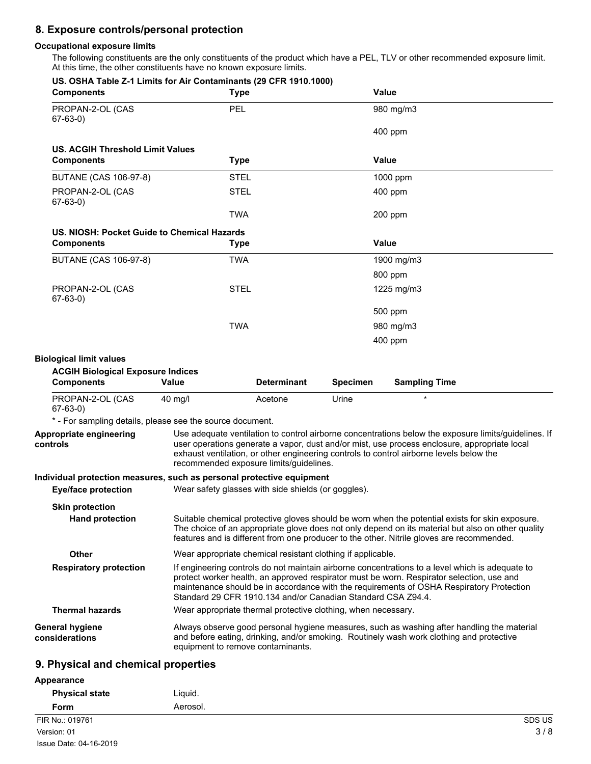# **8. Exposure controls/personal protection**

#### **Occupational exposure limits**

The following constituents are the only constituents of the product which have a PEL, TLV or other recommended exposure limit. At this time, the other constituents have no known exposure limits.

| US. OSHA Table Z-1 Limits for Air Contaminants (29 CFR 1910.1000)<br><b>Components</b>              | <b>Type</b>                                                                                                                                                                                                                                                                                                                                |                                                             |                 | <b>Value</b>                                                                                                                                                                                                                                                                             |  |
|-----------------------------------------------------------------------------------------------------|--------------------------------------------------------------------------------------------------------------------------------------------------------------------------------------------------------------------------------------------------------------------------------------------------------------------------------------------|-------------------------------------------------------------|-----------------|------------------------------------------------------------------------------------------------------------------------------------------------------------------------------------------------------------------------------------------------------------------------------------------|--|
| PROPAN-2-OL (CAS<br>$67-63-0)$                                                                      | PEL                                                                                                                                                                                                                                                                                                                                        |                                                             |                 | 980 mg/m3                                                                                                                                                                                                                                                                                |  |
|                                                                                                     |                                                                                                                                                                                                                                                                                                                                            |                                                             |                 | $400$ ppm                                                                                                                                                                                                                                                                                |  |
| <b>US. ACGIH Threshold Limit Values</b>                                                             |                                                                                                                                                                                                                                                                                                                                            |                                                             |                 |                                                                                                                                                                                                                                                                                          |  |
| <b>Components</b>                                                                                   | <b>Type</b>                                                                                                                                                                                                                                                                                                                                |                                                             |                 | Value                                                                                                                                                                                                                                                                                    |  |
| <b>BUTANE (CAS 106-97-8)</b>                                                                        | <b>STEL</b>                                                                                                                                                                                                                                                                                                                                |                                                             |                 | 1000 ppm                                                                                                                                                                                                                                                                                 |  |
| PROPAN-2-OL (CAS<br>$67-63-0)$                                                                      | <b>STEL</b>                                                                                                                                                                                                                                                                                                                                |                                                             |                 | 400 ppm                                                                                                                                                                                                                                                                                  |  |
|                                                                                                     | <b>TWA</b>                                                                                                                                                                                                                                                                                                                                 |                                                             |                 | $200$ ppm                                                                                                                                                                                                                                                                                |  |
| US. NIOSH: Pocket Guide to Chemical Hazards<br><b>Components</b>                                    | <b>Type</b>                                                                                                                                                                                                                                                                                                                                |                                                             |                 | <b>Value</b>                                                                                                                                                                                                                                                                             |  |
| <b>BUTANE (CAS 106-97-8)</b>                                                                        | <b>TWA</b>                                                                                                                                                                                                                                                                                                                                 |                                                             |                 | 1900 mg/m3                                                                                                                                                                                                                                                                               |  |
|                                                                                                     |                                                                                                                                                                                                                                                                                                                                            |                                                             |                 | 800 ppm                                                                                                                                                                                                                                                                                  |  |
| PROPAN-2-OL (CAS<br>$67-63-0)$                                                                      | <b>STEL</b>                                                                                                                                                                                                                                                                                                                                |                                                             |                 | 1225 mg/m3                                                                                                                                                                                                                                                                               |  |
|                                                                                                     |                                                                                                                                                                                                                                                                                                                                            |                                                             |                 | 500 ppm                                                                                                                                                                                                                                                                                  |  |
|                                                                                                     | <b>TWA</b>                                                                                                                                                                                                                                                                                                                                 |                                                             |                 | 980 mg/m3                                                                                                                                                                                                                                                                                |  |
|                                                                                                     |                                                                                                                                                                                                                                                                                                                                            |                                                             |                 | 400 ppm                                                                                                                                                                                                                                                                                  |  |
| <b>Biological limit values</b>                                                                      |                                                                                                                                                                                                                                                                                                                                            |                                                             |                 |                                                                                                                                                                                                                                                                                          |  |
| <b>ACGIH Biological Exposure Indices</b><br><b>Components</b>                                       | <b>Value</b>                                                                                                                                                                                                                                                                                                                               | <b>Determinant</b>                                          | <b>Specimen</b> | <b>Sampling Time</b>                                                                                                                                                                                                                                                                     |  |
| PROPAN-2-OL (CAS<br>$67-63-0$                                                                       | 40 mg/l                                                                                                                                                                                                                                                                                                                                    | Acetone                                                     | Urine           |                                                                                                                                                                                                                                                                                          |  |
| * - For sampling details, please see the source document.                                           |                                                                                                                                                                                                                                                                                                                                            |                                                             |                 |                                                                                                                                                                                                                                                                                          |  |
| Appropriate engineering<br>controls                                                                 | Use adequate ventilation to control airborne concentrations below the exposure limits/guidelines. If<br>user operations generate a vapor, dust and/or mist, use process enclosure, appropriate local<br>exhaust ventilation, or other engineering controls to control airborne levels below the<br>recommended exposure limits/guidelines. |                                                             |                 |                                                                                                                                                                                                                                                                                          |  |
| Individual protection measures, such as personal protective equipment<br><b>Eye/face protection</b> | Wear safety glasses with side shields (or goggles).                                                                                                                                                                                                                                                                                        |                                                             |                 |                                                                                                                                                                                                                                                                                          |  |
| <b>Skin protection</b>                                                                              |                                                                                                                                                                                                                                                                                                                                            |                                                             |                 |                                                                                                                                                                                                                                                                                          |  |
| <b>Hand protection</b>                                                                              | Suitable chemical protective gloves should be worn when the potential exists for skin exposure.<br>The choice of an appropriate glove does not only depend on its material but also on other quality<br>features and is different from one producer to the other. Nitrile gloves are recommended.                                          |                                                             |                 |                                                                                                                                                                                                                                                                                          |  |
| Other                                                                                               |                                                                                                                                                                                                                                                                                                                                            | Wear appropriate chemical resistant clothing if applicable. |                 |                                                                                                                                                                                                                                                                                          |  |
| <b>Respiratory protection</b>                                                                       | Standard 29 CFR 1910.134 and/or Canadian Standard CSA Z94.4.                                                                                                                                                                                                                                                                               |                                                             |                 | If engineering controls do not maintain airborne concentrations to a level which is adequate to<br>protect worker health, an approved respirator must be worn. Respirator selection, use and<br>maintenance should be in accordance with the requirements of OSHA Respiratory Protection |  |
| <b>Thermal hazards</b>                                                                              | Wear appropriate thermal protective clothing, when necessary.                                                                                                                                                                                                                                                                              |                                                             |                 |                                                                                                                                                                                                                                                                                          |  |
| <b>General hygiene</b><br>considerations                                                            | Always observe good personal hygiene measures, such as washing after handling the material<br>and before eating, drinking, and/or smoking. Routinely wash work clothing and protective<br>equipment to remove contaminants.                                                                                                                |                                                             |                 |                                                                                                                                                                                                                                                                                          |  |
| 9. Physical and chemical properties                                                                 |                                                                                                                                                                                                                                                                                                                                            |                                                             |                 |                                                                                                                                                                                                                                                                                          |  |
| Appearance                                                                                          |                                                                                                                                                                                                                                                                                                                                            |                                                             |                 |                                                                                                                                                                                                                                                                                          |  |
| <b>Physical state</b>                                                                               | Liquid.                                                                                                                                                                                                                                                                                                                                    |                                                             |                 |                                                                                                                                                                                                                                                                                          |  |
| Form                                                                                                | Aerosol.                                                                                                                                                                                                                                                                                                                                   |                                                             |                 |                                                                                                                                                                                                                                                                                          |  |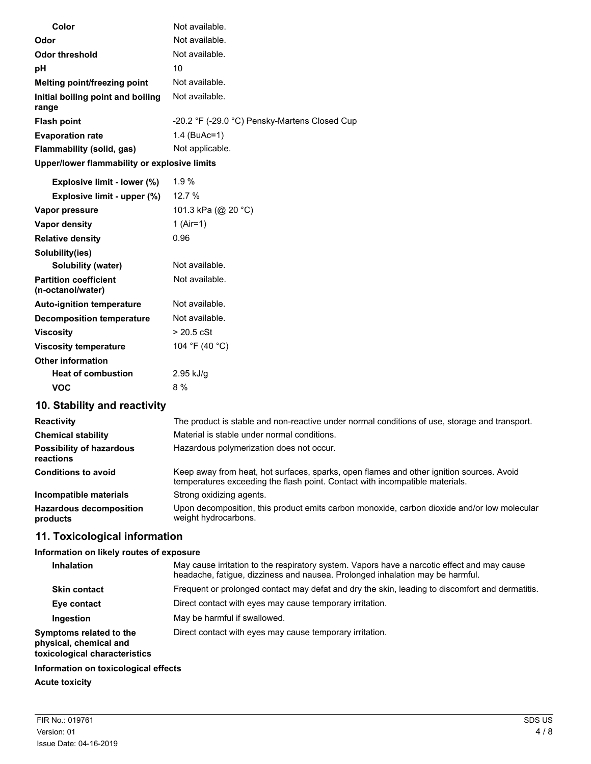| Color                                        | Not available.                                |  |
|----------------------------------------------|-----------------------------------------------|--|
| Odor                                         | Not available.                                |  |
| <b>Odor threshold</b>                        | Not available.                                |  |
| рH                                           | 10                                            |  |
| Melting point/freezing point                 | Not available.                                |  |
| Initial boiling point and boiling            | Not available.                                |  |
| range                                        |                                               |  |
| <b>Flash point</b>                           | -20.2 °F (-29.0 °C) Pensky-Martens Closed Cup |  |
| <b>Evaporation rate</b>                      | 1.4 (BuAc=1)                                  |  |
| Flammability (solid, gas)                    | Not applicable.                               |  |
| Upper/lower flammability or explosive limits |                                               |  |

**Explosive limit - lower (%)** 1.9 % **Explosive limit - upper (%)** 12.7 % **Vapor pressure** 101.3 kPa (@ 20 °C) **Vapor density** 1 (Air=1) **Relative density** 0.96

| Solubility(ies)                                   |                |
|---------------------------------------------------|----------------|
| Solubility (water)                                | Not available. |
| <b>Partition coefficient</b><br>(n-octanol/water) | Not available. |
| Auto-ignition temperature                         | Not available. |
| <b>Decomposition temperature</b>                  | Not available. |
| Viscositv                                         | $> 20.5$ cSt   |
| Viscosity temperature                             | 104 °F (40 °C) |
| Other information                                 |                |
| <b>Heat of combustion</b>                         | 2.95 kJ/g      |
| voc                                               | ጸ %            |

### **10. Stability and reactivity**

| <b>Reactivity</b>                            | The product is stable and non-reactive under normal conditions of use, storage and transport.                                                                            |
|----------------------------------------------|--------------------------------------------------------------------------------------------------------------------------------------------------------------------------|
| <b>Chemical stability</b>                    | Material is stable under normal conditions.                                                                                                                              |
| <b>Possibility of hazardous</b><br>reactions | Hazardous polymerization does not occur.                                                                                                                                 |
| <b>Conditions to avoid</b>                   | Keep away from heat, hot surfaces, sparks, open flames and other ignition sources. Avoid<br>temperatures exceeding the flash point. Contact with incompatible materials. |
| Incompatible materials                       | Strong oxidizing agents.                                                                                                                                                 |
| <b>Hazardous decomposition</b><br>products   | Upon decomposition, this product emits carbon monoxide, carbon dioxide and/or low molecular<br>weight hydrocarbons.                                                      |
|                                              |                                                                                                                                                                          |

## **11. Toxicological information**

### **Information on likely routes of exposure**

| <b>Inhalation</b>                                                                  | May cause irritation to the respiratory system. Vapors have a narcotic effect and may cause<br>headache, fatique, dizziness and nausea. Prolonged inhalation may be harmful. |
|------------------------------------------------------------------------------------|------------------------------------------------------------------------------------------------------------------------------------------------------------------------------|
| <b>Skin contact</b>                                                                | Frequent or prolonged contact may defat and dry the skin, leading to discomfort and dermatitis.                                                                              |
| Eye contact                                                                        | Direct contact with eyes may cause temporary irritation.                                                                                                                     |
| Ingestion                                                                          | May be harmful if swallowed.                                                                                                                                                 |
| Symptoms related to the<br>physical, chemical and<br>toxicological characteristics | Direct contact with eyes may cause temporary irritation.                                                                                                                     |

#### **Information on toxicological effects**

#### **Acute toxicity**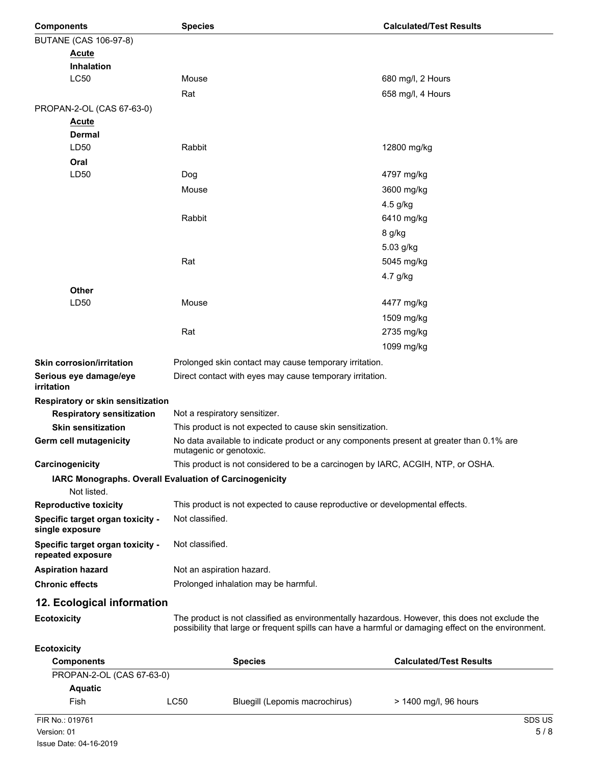| <b>Components</b>                                                     | <b>Species</b>  |                                                                                                                     | <b>Calculated/Test Results</b>                                                                                                                                                                        |  |
|-----------------------------------------------------------------------|-----------------|---------------------------------------------------------------------------------------------------------------------|-------------------------------------------------------------------------------------------------------------------------------------------------------------------------------------------------------|--|
| <b>BUTANE (CAS 106-97-8)</b>                                          |                 |                                                                                                                     |                                                                                                                                                                                                       |  |
| <b>Acute</b>                                                          |                 |                                                                                                                     |                                                                                                                                                                                                       |  |
| <b>Inhalation</b>                                                     |                 |                                                                                                                     |                                                                                                                                                                                                       |  |
| <b>LC50</b>                                                           | Mouse           |                                                                                                                     | 680 mg/l, 2 Hours                                                                                                                                                                                     |  |
|                                                                       | Rat             |                                                                                                                     | 658 mg/l, 4 Hours                                                                                                                                                                                     |  |
| PROPAN-2-OL (CAS 67-63-0)                                             |                 |                                                                                                                     |                                                                                                                                                                                                       |  |
| <b>Acute</b>                                                          |                 |                                                                                                                     |                                                                                                                                                                                                       |  |
| Dermal                                                                |                 |                                                                                                                     |                                                                                                                                                                                                       |  |
| LD50                                                                  | Rabbit          |                                                                                                                     | 12800 mg/kg                                                                                                                                                                                           |  |
| Oral                                                                  |                 |                                                                                                                     |                                                                                                                                                                                                       |  |
| LD50                                                                  | Dog             |                                                                                                                     | 4797 mg/kg                                                                                                                                                                                            |  |
|                                                                       | Mouse           |                                                                                                                     | 3600 mg/kg                                                                                                                                                                                            |  |
|                                                                       |                 |                                                                                                                     | 4.5 g/kg                                                                                                                                                                                              |  |
|                                                                       | Rabbit          |                                                                                                                     | 6410 mg/kg                                                                                                                                                                                            |  |
|                                                                       |                 |                                                                                                                     | 8 g/kg                                                                                                                                                                                                |  |
|                                                                       |                 |                                                                                                                     | 5.03 g/kg                                                                                                                                                                                             |  |
|                                                                       | Rat             |                                                                                                                     | 5045 mg/kg                                                                                                                                                                                            |  |
|                                                                       |                 |                                                                                                                     | $4.7$ g/kg                                                                                                                                                                                            |  |
| <b>Other</b>                                                          |                 |                                                                                                                     |                                                                                                                                                                                                       |  |
| LD50                                                                  | Mouse           |                                                                                                                     | 4477 mg/kg                                                                                                                                                                                            |  |
|                                                                       |                 |                                                                                                                     | 1509 mg/kg                                                                                                                                                                                            |  |
|                                                                       | Rat             |                                                                                                                     |                                                                                                                                                                                                       |  |
|                                                                       |                 |                                                                                                                     | 2735 mg/kg                                                                                                                                                                                            |  |
|                                                                       |                 |                                                                                                                     | 1099 mg/kg                                                                                                                                                                                            |  |
| <b>Skin corrosion/irritation</b>                                      |                 | Prolonged skin contact may cause temporary irritation.                                                              |                                                                                                                                                                                                       |  |
| Serious eye damage/eye<br>irritation                                  |                 | Direct contact with eyes may cause temporary irritation.                                                            |                                                                                                                                                                                                       |  |
| Respiratory or skin sensitization                                     |                 |                                                                                                                     |                                                                                                                                                                                                       |  |
| <b>Respiratory sensitization</b>                                      |                 | Not a respiratory sensitizer.                                                                                       |                                                                                                                                                                                                       |  |
| <b>Skin sensitization</b>                                             |                 | This product is not expected to cause skin sensitization.                                                           |                                                                                                                                                                                                       |  |
| Germ cell mutagenicity                                                |                 | No data available to indicate product or any components present at greater than 0.1% are<br>mutagenic or genotoxic. |                                                                                                                                                                                                       |  |
| Carcinogenicity                                                       |                 | This product is not considered to be a carcinogen by IARC, ACGIH, NTP, or OSHA.                                     |                                                                                                                                                                                                       |  |
| IARC Monographs. Overall Evaluation of Carcinogenicity<br>Not listed. |                 |                                                                                                                     |                                                                                                                                                                                                       |  |
| <b>Reproductive toxicity</b>                                          |                 | This product is not expected to cause reproductive or developmental effects.                                        |                                                                                                                                                                                                       |  |
| Specific target organ toxicity -<br>single exposure                   | Not classified. |                                                                                                                     |                                                                                                                                                                                                       |  |
| Specific target organ toxicity -<br>repeated exposure                 | Not classified. |                                                                                                                     |                                                                                                                                                                                                       |  |
| <b>Aspiration hazard</b>                                              |                 | Not an aspiration hazard.                                                                                           |                                                                                                                                                                                                       |  |
| <b>Chronic effects</b>                                                |                 | Prolonged inhalation may be harmful.                                                                                |                                                                                                                                                                                                       |  |
| 12. Ecological information                                            |                 |                                                                                                                     |                                                                                                                                                                                                       |  |
| <b>Ecotoxicity</b>                                                    |                 |                                                                                                                     | The product is not classified as environmentally hazardous. However, this does not exclude the<br>possibility that large or frequent spills can have a harmful or damaging effect on the environment. |  |
| <b>Ecotoxicity</b>                                                    |                 |                                                                                                                     |                                                                                                                                                                                                       |  |
| <b>Components</b>                                                     |                 | <b>Species</b>                                                                                                      | <b>Calculated/Test Results</b>                                                                                                                                                                        |  |
| PROPAN-2-OL (CAS 67-63-0)                                             |                 |                                                                                                                     |                                                                                                                                                                                                       |  |
| <b>Aquatic</b>                                                        |                 |                                                                                                                     |                                                                                                                                                                                                       |  |
| Fish                                                                  | LC50            | Bluegill (Lepomis macrochirus)                                                                                      | > 1400 mg/l, 96 hours                                                                                                                                                                                 |  |
| FIR No.: 019761<br>Version: 01                                        |                 |                                                                                                                     | SDS US<br>5/8                                                                                                                                                                                         |  |

Issue Date: 04-16-2019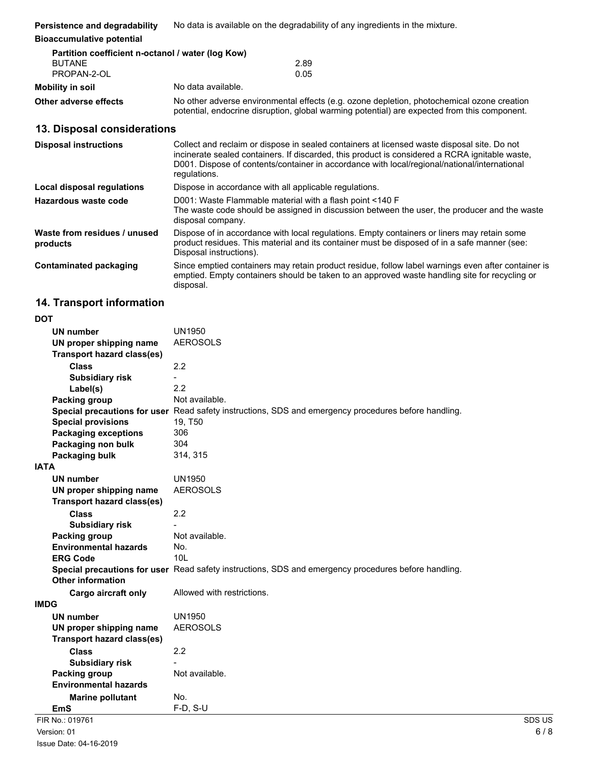|                         | Partition coefficient n-octanol / water (log Kow)                                                                                                                                          |  |
|-------------------------|--------------------------------------------------------------------------------------------------------------------------------------------------------------------------------------------|--|
| <b>BUTANE</b>           | 2.89                                                                                                                                                                                       |  |
| PROPAN-2-OL             | 0.05                                                                                                                                                                                       |  |
| <b>Mobility in soil</b> | No data available.                                                                                                                                                                         |  |
| Other adverse effects   | No other adverse environmental effects (e.g. ozone depletion, photochemical ozone creation<br>potential, endocrine disruption, global warming potential) are expected from this component. |  |

# **13. Disposal considerations**

| <b>Disposal instructions</b>             | Collect and reclaim or dispose in sealed containers at licensed waste disposal site. Do not<br>incinerate sealed containers. If discarded, this product is considered a RCRA ignitable waste,<br>D001. Dispose of contents/container in accordance with local/regional/national/international<br>requlations. |
|------------------------------------------|---------------------------------------------------------------------------------------------------------------------------------------------------------------------------------------------------------------------------------------------------------------------------------------------------------------|
| Local disposal regulations               | Dispose in accordance with all applicable regulations.                                                                                                                                                                                                                                                        |
| Hazardous waste code                     | D001: Waste Flammable material with a flash point <140 F<br>The waste code should be assigned in discussion between the user, the producer and the waste<br>disposal company.                                                                                                                                 |
| Waste from residues / unused<br>products | Dispose of in accordance with local regulations. Empty containers or liners may retain some<br>product residues. This material and its container must be disposed of in a safe manner (see:<br>Disposal instructions).                                                                                        |
| <b>Contaminated packaging</b>            | Since emptied containers may retain product residue, follow label warnings even after container is<br>emptied. Empty containers should be taken to an approved waste handling site for recycling or<br>disposal.                                                                                              |

# **14. Transport information**

| <b>DOT</b>                        |                                                                                                      |        |
|-----------------------------------|------------------------------------------------------------------------------------------------------|--------|
| <b>UN number</b>                  | <b>UN1950</b>                                                                                        |        |
| UN proper shipping name           | <b>AEROSOLS</b>                                                                                      |        |
| <b>Transport hazard class(es)</b> |                                                                                                      |        |
| <b>Class</b>                      | 2.2                                                                                                  |        |
| <b>Subsidiary risk</b>            |                                                                                                      |        |
| Label(s)                          | 2.2                                                                                                  |        |
| <b>Packing group</b>              | Not available.                                                                                       |        |
|                                   | Special precautions for user Read safety instructions, SDS and emergency procedures before handling. |        |
| <b>Special provisions</b>         | 19. T <sub>50</sub>                                                                                  |        |
| <b>Packaging exceptions</b>       | 306                                                                                                  |        |
| Packaging non bulk                | 304                                                                                                  |        |
| Packaging bulk                    | 314, 315                                                                                             |        |
| <b>IATA</b>                       |                                                                                                      |        |
| <b>UN number</b>                  | <b>UN1950</b>                                                                                        |        |
| UN proper shipping name           | <b>AEROSOLS</b>                                                                                      |        |
| <b>Transport hazard class(es)</b> |                                                                                                      |        |
| <b>Class</b>                      | 2.2                                                                                                  |        |
| <b>Subsidiary risk</b>            |                                                                                                      |        |
| Packing group                     | Not available.                                                                                       |        |
| <b>Environmental hazards</b>      | No.                                                                                                  |        |
| <b>ERG Code</b>                   | 101                                                                                                  |        |
|                                   | Special precautions for user Read safety instructions, SDS and emergency procedures before handling. |        |
| <b>Other information</b>          |                                                                                                      |        |
| <b>Cargo aircraft only</b>        | Allowed with restrictions.                                                                           |        |
| <b>IMDG</b>                       |                                                                                                      |        |
| UN number                         | <b>UN1950</b>                                                                                        |        |
| UN proper shipping name           | <b>AEROSOLS</b>                                                                                      |        |
| <b>Transport hazard class(es)</b> |                                                                                                      |        |
| <b>Class</b>                      | 2.2                                                                                                  |        |
| <b>Subsidiary risk</b>            |                                                                                                      |        |
| <b>Packing group</b>              | Not available.                                                                                       |        |
| <b>Environmental hazards</b>      |                                                                                                      |        |
| <b>Marine pollutant</b>           | No.                                                                                                  |        |
| <b>EmS</b>                        | $F-D, S-U$                                                                                           |        |
| FIR No.: 019761                   |                                                                                                      | SDS US |
| Version: 01                       |                                                                                                      | 6/8    |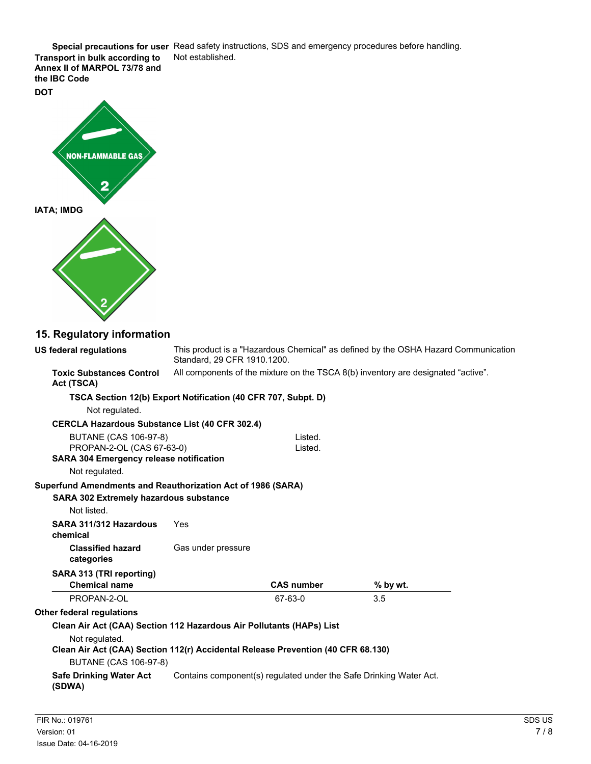**Special precautions for user** Read safety instructions, SDS and emergency procedures before handling. **Transport in bulk according to Annex II of MARPOL 73/78 and the IBC Code**



### **15. Regulatory information**

| <b>US federal regulations</b>                                                                                                      | This product is a "Hazardous Chemical" as defined by the OSHA Hazard Communication<br>Standard, 29 CFR 1910.1200. |                    |                                                                                   |  |
|------------------------------------------------------------------------------------------------------------------------------------|-------------------------------------------------------------------------------------------------------------------|--------------------|-----------------------------------------------------------------------------------|--|
| <b>Toxic Substances Control</b><br>Act (TSCA)                                                                                      |                                                                                                                   |                    | All components of the mixture on the TSCA 8(b) inventory are designated "active". |  |
| TSCA Section 12(b) Export Notification (40 CFR 707, Subpt. D)                                                                      |                                                                                                                   |                    |                                                                                   |  |
| Not regulated.                                                                                                                     |                                                                                                                   |                    |                                                                                   |  |
| <b>CERCLA Hazardous Substance List (40 CFR 302.4)</b>                                                                              |                                                                                                                   |                    |                                                                                   |  |
| <b>BUTANE (CAS 106-97-8)</b><br>PROPAN-2-OL (CAS 67-63-0)                                                                          |                                                                                                                   | Listed.<br>Listed. |                                                                                   |  |
| <b>SARA 304 Emergency release notification</b>                                                                                     |                                                                                                                   |                    |                                                                                   |  |
| Not regulated.                                                                                                                     |                                                                                                                   |                    |                                                                                   |  |
| Superfund Amendments and Reauthorization Act of 1986 (SARA)<br><b>SARA 302 Extremely hazardous substance</b><br>Not listed.        |                                                                                                                   |                    |                                                                                   |  |
| SARA 311/312 Hazardous<br>chemical                                                                                                 | Yes                                                                                                               |                    |                                                                                   |  |
| <b>Classified hazard</b><br>categories                                                                                             | Gas under pressure                                                                                                |                    |                                                                                   |  |
| SARA 313 (TRI reporting)<br><b>Chemical name</b>                                                                                   |                                                                                                                   | <b>CAS number</b>  | $%$ by wt.                                                                        |  |
| PROPAN-2-OL                                                                                                                        |                                                                                                                   | 67-63-0            | 3.5                                                                               |  |
| <b>Other federal regulations</b>                                                                                                   |                                                                                                                   |                    |                                                                                   |  |
| Clean Air Act (CAA) Section 112 Hazardous Air Pollutants (HAPs) List                                                               |                                                                                                                   |                    |                                                                                   |  |
| Not regulated.<br>Clean Air Act (CAA) Section 112(r) Accidental Release Prevention (40 CFR 68.130)<br><b>BUTANE (CAS 106-97-8)</b> |                                                                                                                   |                    |                                                                                   |  |
| <b>Safe Drinking Water Act</b><br>(SDWA)                                                                                           | Contains component(s) regulated under the Safe Drinking Water Act.                                                |                    |                                                                                   |  |